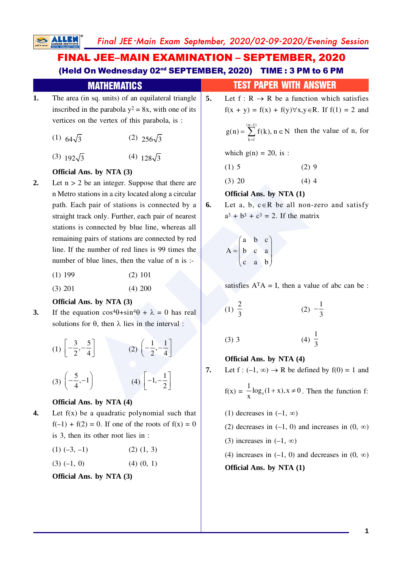# FINAL JEE–MAIN EXAMINATION – SEPTEMBER, 2020 (Held On Wednesday 02nd SEPTEMBER, 2020) TIME : 3 PM to 6 PM

|                                                          | .                                                      |  |
|----------------------------------------------------------|--------------------------------------------------------|--|
| The area (in sq. units) of an equilateral triangle<br>1. |                                                        |  |
|                                                          | inscribed in the parabola $y^2 = 8x$ , with one of its |  |
|                                                          | vertices on the vertex of this parabola, is :          |  |

- (1)  $64\sqrt{3}$  (2)  $256\sqrt{3}$
- (3)  $192\sqrt{3}$  (4)  $128\sqrt{3}$

#### **Official Ans. by NTA (3)**

- be an integer. Suppose that there are<br>
ations in a city located along a circular<br>
h pair of stations is connected by a<br>
cack only. Further, each pair of nearest<br>
connected by blue line, whereas all<br>
pairs of stations are **2.** Let  $n > 2$  be an integer. Suppose that there are n Metro stations in a city located along a circular path. Each pair of stations is connected by a straight track only. Further, each pair of nearest stations is connected by blue line, whereas all remaining pairs of stations are connected by red line. If the number of red lines is 99 times the number of blue lines, then the value of n is :-
	- (1) 199 (2) 101
	- (3) 201 (4) 200

#### **Official Ans. by NTA (3)**

**3.** If the equation  $\cos^4\theta + \sin^4\theta + \lambda = 0$  has real solutions for  $\theta$ , then  $\lambda$  lies in the interval :

$$
(1) \begin{bmatrix} -\frac{3}{2}, -\frac{5}{4} \end{bmatrix}
$$
\n
$$
(2) \begin{bmatrix} -\frac{1}{2}, -\frac{1}{4} \end{bmatrix}
$$
\n
$$
(3) \begin{bmatrix} -\frac{5}{4}, -1 \end{bmatrix}
$$
\n
$$
(4) \begin{bmatrix} -1, -\frac{1}{2} \end{bmatrix}
$$

### **Official Ans. by NTA (4)**

**4.** Let f(x) be a quadratic polynomial such that  $f(-1) + f(2) = 0$ . If one of the roots of  $f(x) = 0$ is 3, then its other root lies in :

|  | $(1)$ $(-3, -1)$ | $(2)$ $(1, 3)$ |
|--|------------------|----------------|
|--|------------------|----------------|

 $(3) (-1, 0)$  (4)  $(0, 1)$ 

**Official Ans. by NTA (3)**

### **MATHEMATICS TEST PAPER WITH ANSWER**

**5.** Let  $f: R \to R$  be a function which satisfies  $f(x + y) = f(x) + f(y) \forall x, y \in R$ . If  $f(1) = 2$  and

> $(n-1)$  $g(n) = \sum_{k=1}^{(n-1)} f(k)$ ,  $n \in N$  then the value of n, for

which  $g(n) = 20$ , is:

$$
(1) 5 \t(2) 9
$$

 $(3)$  20  $(4)$  4

#### **Official Ans. by NTA (1)**

**6.** Let a, b,  $c \in \mathbb{R}$  be all non-zero and satisfy  $a^{3} + b^{3} + c^{3} = 2$ . If the matrix

$$
A = \begin{pmatrix} a & b & c \\ b & c & a \\ c & a & b \end{pmatrix}
$$

satisfies  $A<sup>T</sup>A = I$ , then a value of abc can be :

(1) 
$$
\frac{2}{3}
$$
 (2)  $-\frac{1}{3}$ 

$$
(3) 3 \t\t (4) \frac{1}{3}
$$

#### **Official Ans. by NTA (4)**

**7.** Let  $f: (-1, \infty) \to \mathbb{R}$  be defined by  $f(0) = 1$  and

 $f(x) = -\log_e$  $\frac{1}{\log_e(1+x)}$ , x  $\frac{1}{x} \log_e(1+x), x \neq 0$ . Then the function f:

- (1) decreases in  $(-1, \infty)$
- (2) decreases in  $(-1, 0)$  and increases in  $(0, \infty)$
- (3) increases in  $(-1, \infty)$

(4) increases in  $(-1, 0)$  and decreases in  $(0, \infty)$ **Official Ans. by NTA (1)**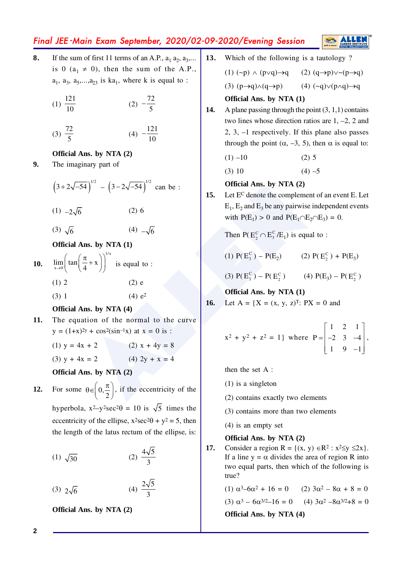# Final JEE -Main Exam September, 2020/02-09-2020/Evening Session

 $\overline{0}$ 

**8.** If the sum of first 11 terms of an A.P.,  $a_1 a_2, a_3,...$ is 0 ( $a_1 \neq 0$ ), then the sum of the A.P.,  $a_1$ ,  $a_3$ ,  $a_5$ ,..., $a_{23}$  is  $ka_1$ , where k is equal to :

$$
(1) \frac{121}{10} \qquad (2) -\frac{72}{5}
$$

$$
(3) \frac{72}{5} \qquad \qquad (4) \ -\frac{121}{10}
$$

#### **Official Ans. by NTA (2)**

**9.** The imaginary part of

$$
\left(3+2\sqrt{-54}\right)^{1/2} - \left(3-2\sqrt{-54}\right)^{1/2} \text{ can be :}
$$

$$
(1) \t -2\sqrt{6} \t (2) 6
$$

 $(3) \sqrt{6}$  $\frac{1}{6}$  (4)  $-\sqrt{6}$ 

#### **Official Ans. by NTA (1)**

- **10.** 1/x  $\lim_{x\to 0} \left( \tan \left( \frac{\pi}{4} + x \right) \right)^{11}$  is equal to : (1) 2 (2) e
	- (3) 1 (4)  $e^2$

#### **Official Ans. by NTA (4)**

- **11.** The equation of the normal to the curve  $y = (1+x)^{2y} + \cos^2(\sin^{-1}x)$  at  $x = 0$  is :
	- (1)  $y = 4x + 2$  (2)  $x + 4y = 8$
	- (3)  $y + 4x = 2$  (4)  $2y + x = 4$

**Official Ans. by NTA (2)**

**12.** For some  $\theta \in \left[0, \frac{\pi}{2}\right]$ 2  $\theta \in \left(0, \frac{\pi}{2}\right)$ , if the eccentricity of the hyperbola,  $x^2-y^2\sec^2\theta = 10$  is  $\sqrt{5}$  times the eccentricity of the ellipse,  $x^2 \sec^2 \theta + y^2 = 5$ , then the length of the latus rectum of the ellipse, is:

(1) 
$$
\sqrt{30}
$$
 (2)  $\frac{4\sqrt{5}}{3}$ 

$$
(3) 2\sqrt{6} \qquad (4) \frac{2\sqrt{5}}{3}
$$

**Official Ans. by NTA (2)**

**13.** Which of the following is a tautology ?

(1) 
$$
(\neg p) \land (p \lor q) \rightarrow q
$$
 (2)  $(q \rightarrow p) \lor \neg (p \rightarrow q)$   
(3)  $(p \rightarrow q) \land (q \rightarrow p)$  (4)  $(\neg q) \lor (p \land q) \rightarrow q$ 

- **Official Ans. by NTA (1)**
- **14.** A plane passing through the point (3, 1,1) contains two lines whose direction ratios are 1, –2, 2 and 2, 3, –1 respectively. If this plane also passes through the point  $(\alpha, -3, 5)$ , then  $\alpha$  is equal to:
	- $(1)$  –10 (2) 5
	- (3) 10 (4) –5

#### **Official Ans. by NTA (2)**

**Official Ans. by NTA (2)**<br>
(2) 6<br>
(4)  $-\sqrt{6}$ <br> **Englement of**<br> **Englement of**<br> **Englement of**<br> **Englement of**<br> **Englement of**<br> **Englement of**<br> **Englement of**<br> **Englement of**<br> **Englement of**<br> **Englement of**<br> **ENGLEMES** (A **15.** Let E <sup>C</sup> denote the complement of an event E. Let  $E_1$ ,  $E_2$  and  $E_3$  be any pairwise independent events with  $P(E_1) > 0$  and  $P(E_1 \cap E_2 \cap E_3) = 0$ .

Then  $P(E_2^C \cap E_3^C / E_1)$  is equal to :

(1) 
$$
P(E_3^C) - P(E_2)
$$
 (2)  $P(E_2^C) + P(E_3)$ 

(3)  $P(E_3^C) - P(E_2^C)$  (4)  $P(E_3) - P(E_2^C)$ 

**Official Ans. by NTA (1)**

**16.** Let 
$$
A = \{X = (x, y, z)^T : PX = 0 \text{ and }
$$

$$
x^2 + y^2 + z^2 = 1
$$
 where  $P = \begin{bmatrix} 1 & 2 & 1 \\ -2 & 3 & -4 \\ 1 & 9 & -1 \end{bmatrix}$ ,

then the set A :

- (1) is a singleton
- (2) contains exactly two elements
- (3) contains more than two elements
- (4) is an empty set

#### **Official Ans. by NTA (2)**

**17.** Consider a region  $R = \{(x, y) \in R^2 : x^2 \leq y \leq 2x\}.$ If a line  $y = \alpha$  divides the area of region R into two equal parts, then which of the following is true?

> (1)  $\alpha^3 - 6\alpha^2 + 16 = 0$  (2)  $3\alpha^2 - 8\alpha + 8 = 0$ (3)  $\alpha^3 - 6\alpha^{3/2} - 16 = 0$  (4)  $3\alpha^2 - 8\alpha^{3/2} + 8 = 0$ **Official Ans. by NTA (4)**